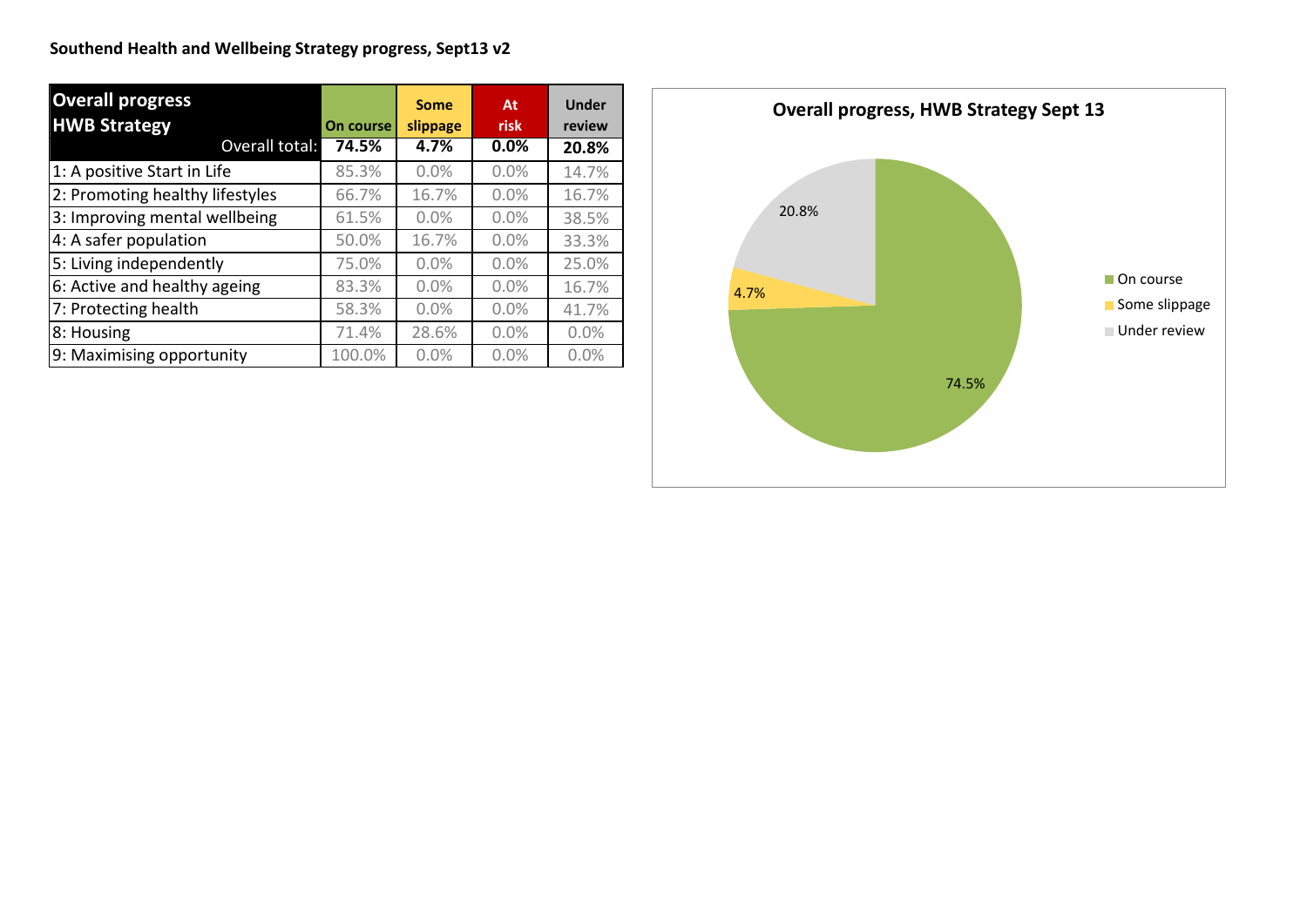| <b>Overall progress</b>         |           | <b>Some</b> | At      | <b>Under</b> |
|---------------------------------|-----------|-------------|---------|--------------|
| <b>HWB Strategy</b>             | On course | slippage    | risk    | review       |
| Overall total:                  | 74.5%     | 4.7%        | $0.0\%$ | 20.8%        |
| 1: A positive Start in Life     | 85.3%     | 0.0%        | 0.0%    | 14.7%        |
| 2: Promoting healthy lifestyles | 66.7%     | 16.7%       | 0.0%    | 16.7%        |
| 3: Improving mental wellbeing   | 61.5%     | 0.0%        | 0.0%    | 38.5%        |
| 4: A safer population           | 50.0%     | 16.7%       | 0.0%    | 33.3%        |
| 5: Living independently         | 75.0%     | 0.0%        | 0.0%    | 25.0%        |
| 6: Active and healthy ageing    | 83.3%     | 0.0%        | 0.0%    | 16.7%        |
| 7: Protecting health            | 58.3%     | 0.0%        | 0.0%    | 41.7%        |
| 8: Housing                      | 71.4%     | 28.6%       | 0.0%    | 0.0%         |
| 9: Maximising opportunity       | 100.0%    | 0.0%        | 0.0%    | 0.0%         |

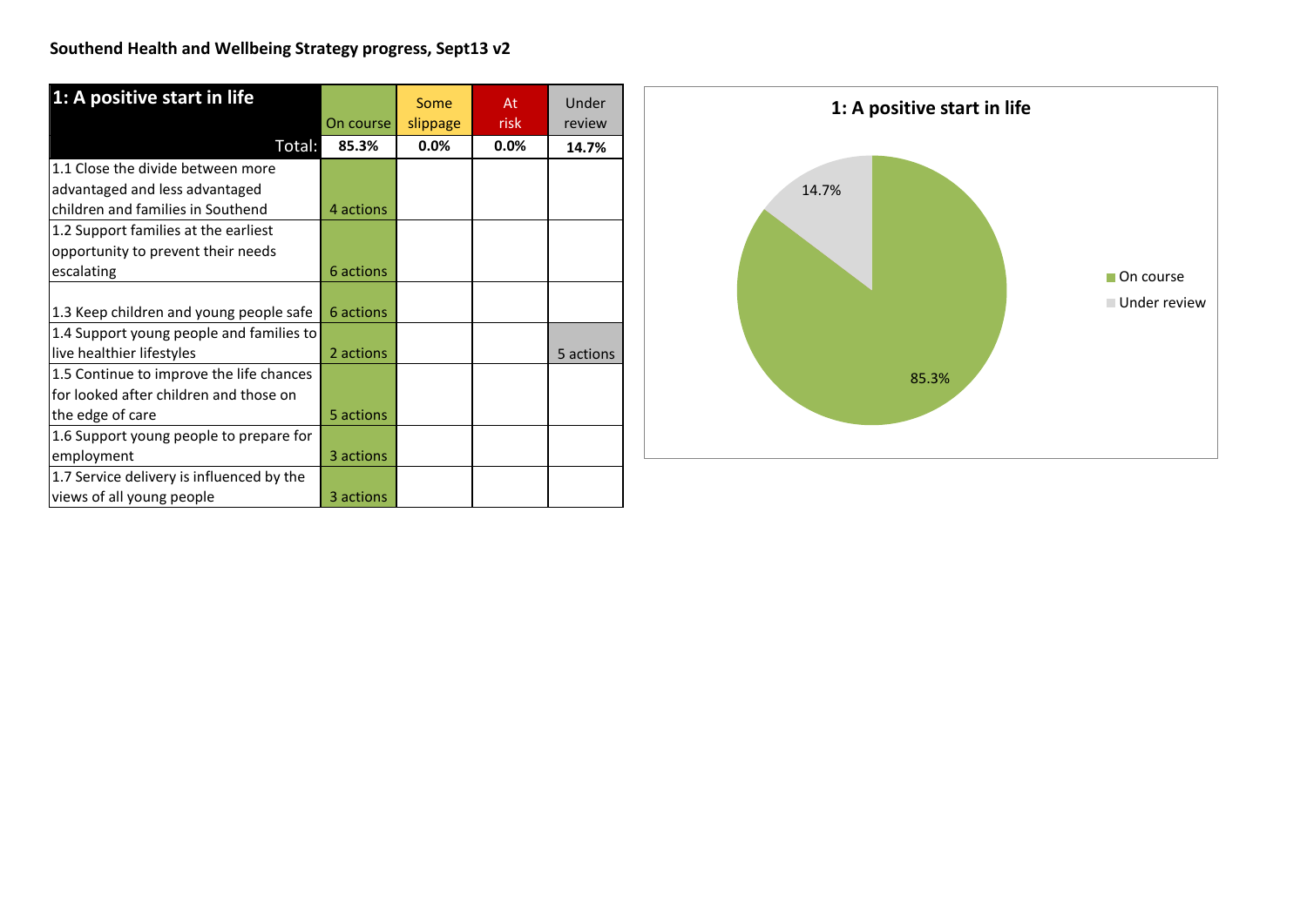| 1: A positive start in life               |           | Some     | At   | Under     |
|-------------------------------------------|-----------|----------|------|-----------|
|                                           | On course | slippage | risk | review    |
| Total:                                    | 85.3%     | 0.0%     | 0.0% | 14.7%     |
| 1.1 Close the divide between more         |           |          |      |           |
| advantaged and less advantaged            |           |          |      |           |
| children and families in Southend         | 4 actions |          |      |           |
| 1.2 Support families at the earliest      |           |          |      |           |
| opportunity to prevent their needs        |           |          |      |           |
| escalating                                | 6 actions |          |      |           |
|                                           |           |          |      |           |
| 1.3 Keep children and young people safe   | 6 actions |          |      |           |
| 1.4 Support young people and families to  |           |          |      |           |
| live healthier lifestyles                 | 2 actions |          |      | 5 actions |
| 1.5 Continue to improve the life chances  |           |          |      |           |
| for looked after children and those on    |           |          |      |           |
| the edge of care                          | 5 actions |          |      |           |
| 1.6 Support young people to prepare for   |           |          |      |           |
| employment                                | 3 actions |          |      |           |
| 1.7 Service delivery is influenced by the |           |          |      |           |
| views of all young people                 | 3 actions |          |      |           |

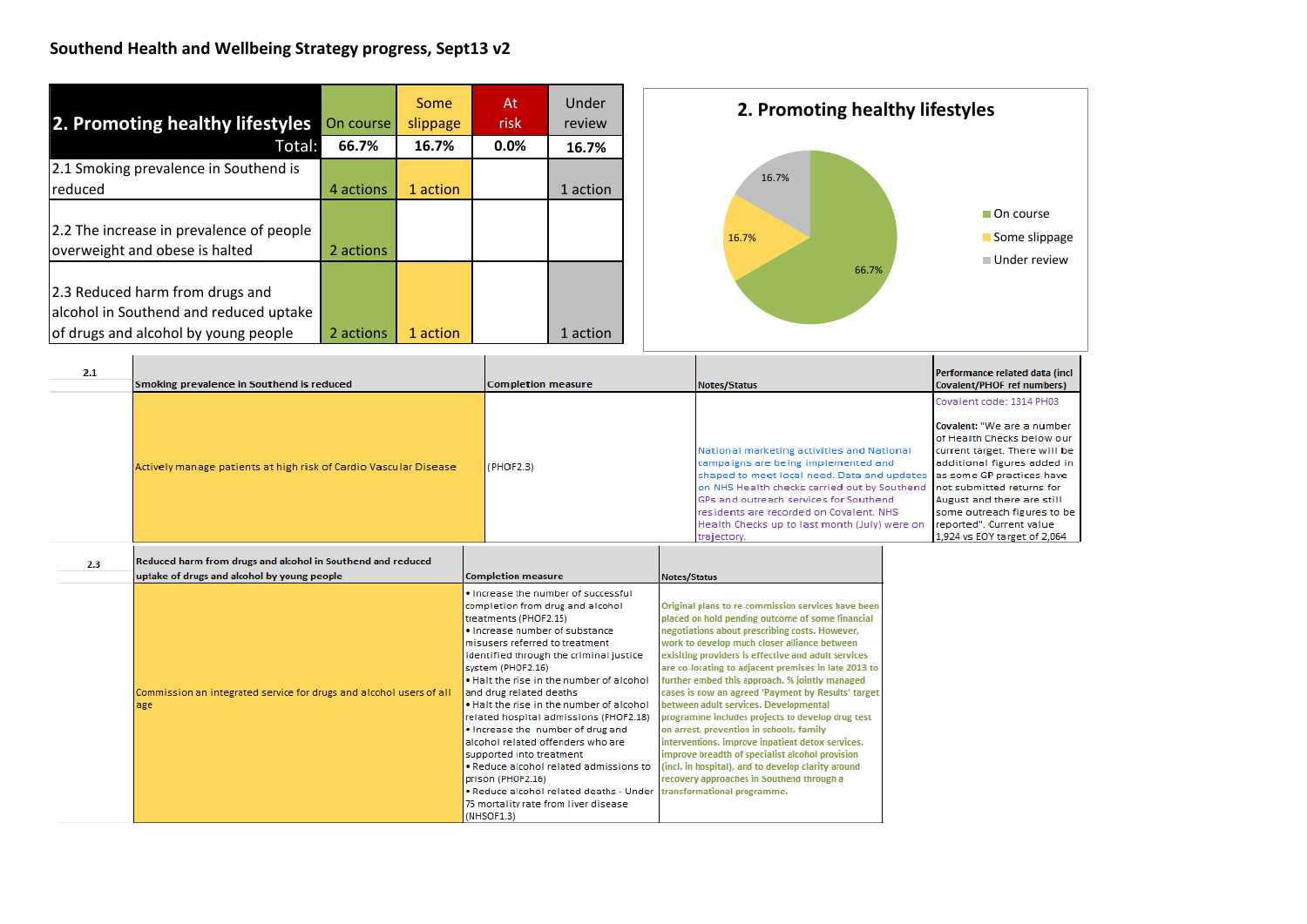| 2. Promoting healthy lifestyles<br>Total:                                                                         | On course<br>66.7% | Some<br>slippage<br>16.7% | At<br><b>risk</b><br>0.0% | Under<br>review |
|-------------------------------------------------------------------------------------------------------------------|--------------------|---------------------------|---------------------------|-----------------|
| 2.1 Smoking prevalence in Southend is                                                                             |                    |                           |                           | 16.7%           |
| reduced                                                                                                           | 4 actions          | 1 action                  |                           | 1 action        |
| 2.2 The increase in prevalence of people<br>overweight and obese is halted                                        | 2 actions          |                           |                           |                 |
| 2.3 Reduced harm from drugs and<br>alcohol in Southend and reduced uptake<br>of drugs and alcohol by young people | 2 actions          | 1 action                  |                           | 1 action        |



| 2.1 | Smoking prevalence in Southend is reduced                        | <b>Completion measure</b> | Notes/Status                                                                                                                                                                                                                                                                                                                          | Performance related data (incl<br>Covalent/PHOF ref numbers)                                                                                                                                                                                                                                                                                |
|-----|------------------------------------------------------------------|---------------------------|---------------------------------------------------------------------------------------------------------------------------------------------------------------------------------------------------------------------------------------------------------------------------------------------------------------------------------------|---------------------------------------------------------------------------------------------------------------------------------------------------------------------------------------------------------------------------------------------------------------------------------------------------------------------------------------------|
|     | Actively manage patients at high risk of Cardio Vascular Disease | (PHOF2.3)                 | National marketing activities and National<br>campaigns are being implemented and<br>shaped to meet local need. Data and updates<br>on NHS Health checks carried out by Southend<br>GPs and outreach services for Southend<br>residents are recorded on Covalent, NHS<br>Health Checks up to last month (July) were on<br>trajectory. | Covalent code: 1314 PH03<br>Covalent: "We are a number<br>lof Health Checks below our<br>current target. There will be<br>additional figures added in<br>las some GP practices have<br>Inot submitted returns for<br>August and there are still<br>some outreach figures to be<br>lreported". Current value<br>1,924 vs EOY target of 2,064 |

| 2.3 | Reduced harm from drugs and alcohol in Southend and reduced<br>uptake of drugs and alcohol by young people | <b>Completion measure</b>                                                                                                                                                                                                                                                                                                                                                                                                                                                                                                                                                                                                                                               | Notes/Status                                                                                                                                                                                                                                                                                                                                                                                                                                                                                                                                                                                                                                                                                                                                                                                                      |
|-----|------------------------------------------------------------------------------------------------------------|-------------------------------------------------------------------------------------------------------------------------------------------------------------------------------------------------------------------------------------------------------------------------------------------------------------------------------------------------------------------------------------------------------------------------------------------------------------------------------------------------------------------------------------------------------------------------------------------------------------------------------------------------------------------------|-------------------------------------------------------------------------------------------------------------------------------------------------------------------------------------------------------------------------------------------------------------------------------------------------------------------------------------------------------------------------------------------------------------------------------------------------------------------------------------------------------------------------------------------------------------------------------------------------------------------------------------------------------------------------------------------------------------------------------------------------------------------------------------------------------------------|
|     | Commission an integrated service for drugs and alcohol users of all<br>lage                                | . Increase the number of successful<br>completion from drug and alcohol<br>treatments (PHOF2.15)<br>. Increase number of substance<br>misusers referred to treatment<br>identified through the criminal justice<br>system (PHOF2.16)<br>. Halt the rise in the number of alcohol<br>and drug related deaths<br>. Halt the rise in the number of alcohol<br>related hospital admissions (PHOF2.18)<br>. Increase the number of drug and<br>alcohol related offenders who are<br>supported into treatment<br>. Reduce alcohol related admissions to<br>prison (PHOF2.16)<br>. Reduce alcohol related deaths - Under<br>75 mortality rate from liver disease<br>(NHSOF1.3) | Original plans to re-commission services have been<br>placed on hold pending outcome of some financial<br>negotiations about prescribing costs. However,<br>work to develop much closer alliance between<br>exisiting providers is effective and adult services<br>are co-locating to adjacent premises in late 2013 to<br>further embed this approach. % jointly managed<br>cases is now an agreed 'Payment by Results' target<br>between adult services. Developmental<br>programme includes projects to develop drug test<br>on arrest, prevention in schools, family<br>interventions, improve inpatient detox services,<br>improve breadth of specialist alcohol provision<br>(incl. in hospital), and to develop clarity around<br>recovery approaches in Southend through a<br>transformational programme. |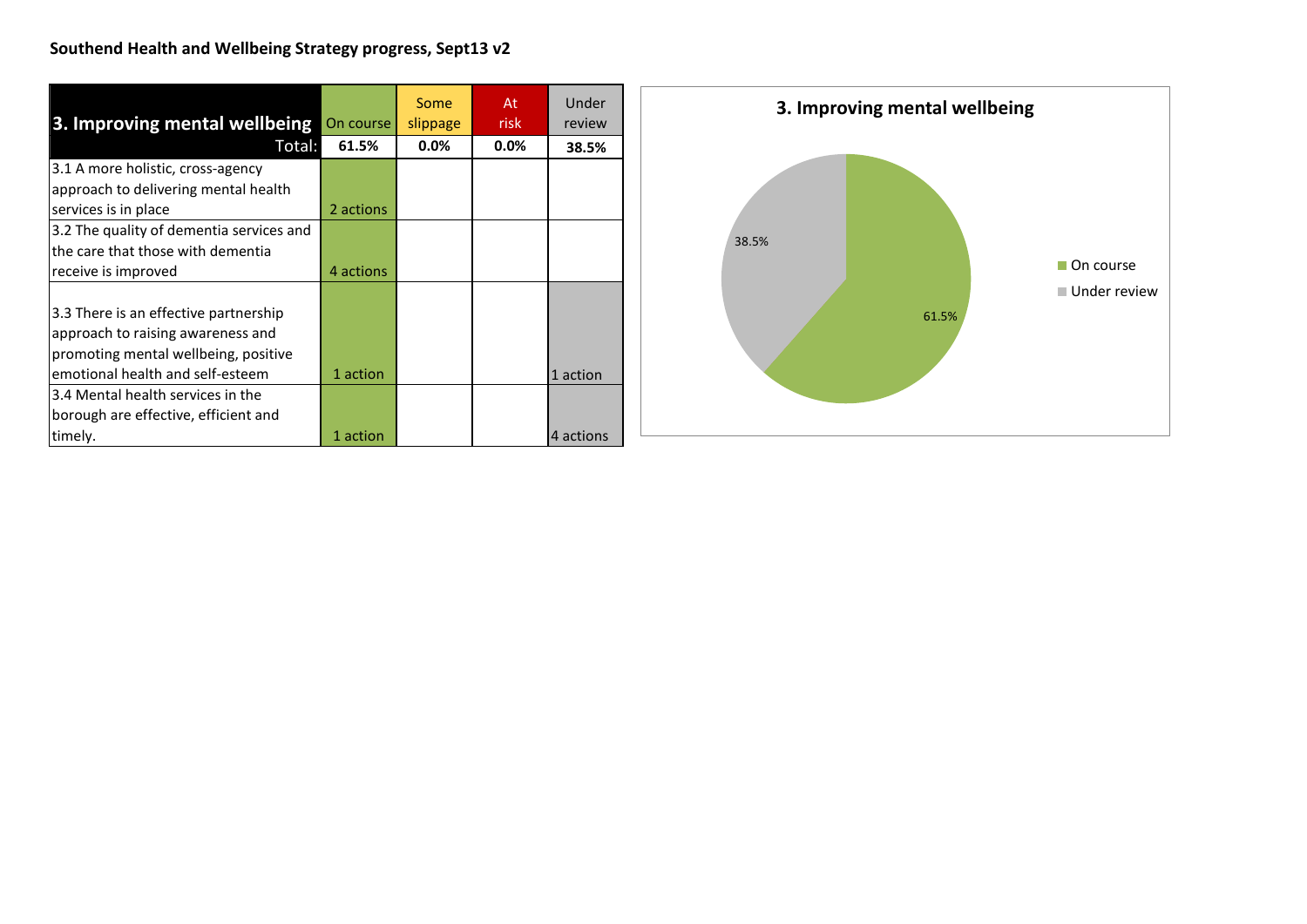| 3. Improving mental wellbeing            | On course | Some<br>slippage | At<br>risk | Under<br>review |
|------------------------------------------|-----------|------------------|------------|-----------------|
| Total:                                   | 61.5%     | $0.0\%$          | $0.0\%$    | 38.5%           |
| 3.1 A more holistic, cross-agency        |           |                  |            |                 |
| approach to delivering mental health     |           |                  |            |                 |
| services is in place                     | 2 actions |                  |            |                 |
| 3.2 The quality of dementia services and |           |                  |            |                 |
| the care that those with dementia        |           |                  |            |                 |
| receive is improved                      | 4 actions |                  |            |                 |
|                                          |           |                  |            |                 |
| 3.3 There is an effective partnership    |           |                  |            |                 |
| approach to raising awareness and        |           |                  |            |                 |
| promoting mental wellbeing, positive     |           |                  |            |                 |
| emotional health and self-esteem         | 1 action  |                  |            | 1 action        |
| 3.4 Mental health services in the        |           |                  |            |                 |
| borough are effective, efficient and     |           |                  |            |                 |
| timely.                                  | 1 action  |                  |            | 4 actions       |

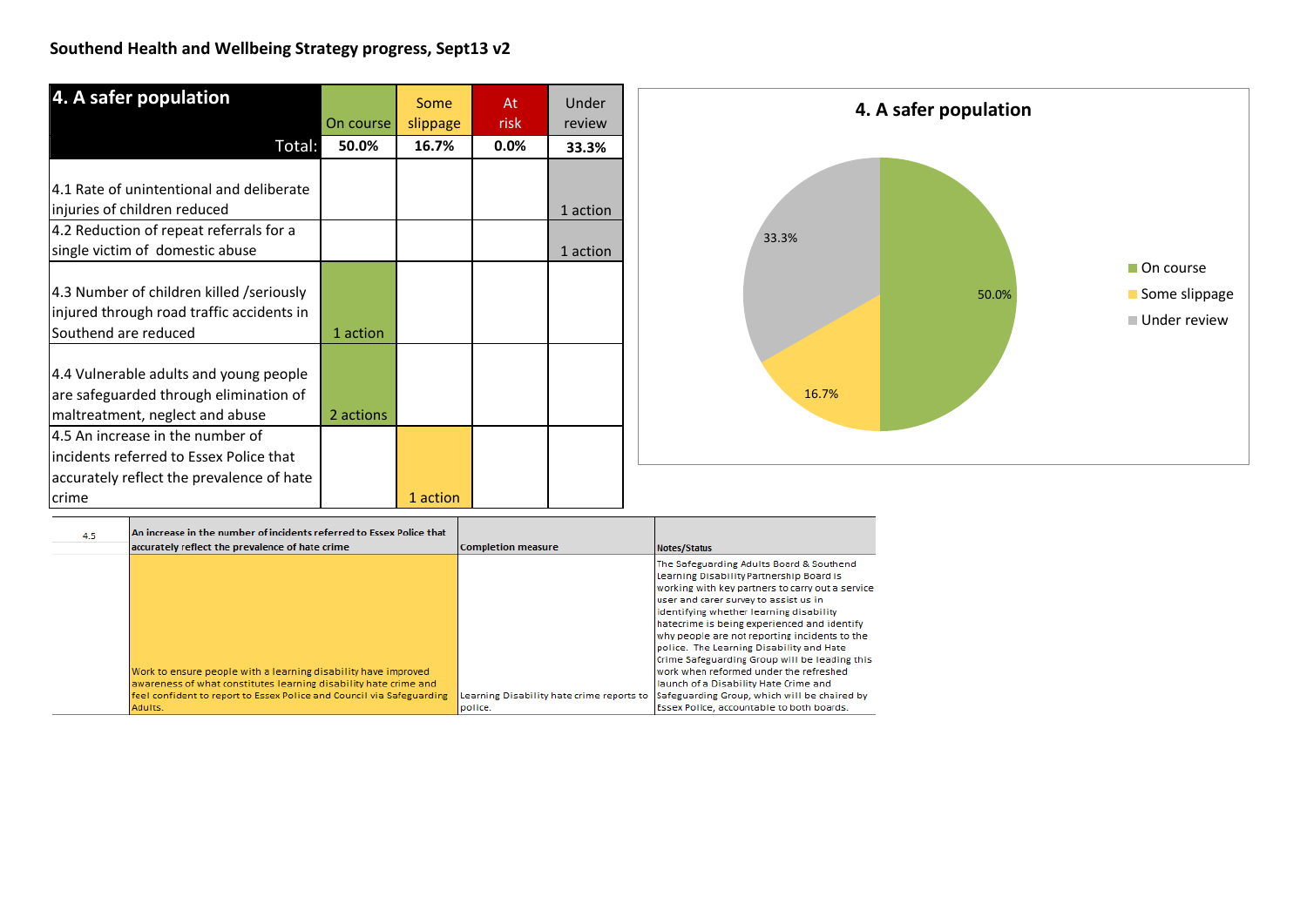| 4. A safer population                     |           | Some     | At   | Under    |
|-------------------------------------------|-----------|----------|------|----------|
|                                           | On course | slippage | risk | review   |
| Total:                                    | 50.0%     | 16.7%    | 0.0% | 33.3%    |
|                                           |           |          |      |          |
| 4.1 Rate of unintentional and deliberate  |           |          |      |          |
| injuries of children reduced              |           |          |      | 1 action |
| 4.2 Reduction of repeat referrals for a   |           |          |      |          |
| single victim of domestic abuse           |           |          |      | 1 action |
| 4.3 Number of children killed /seriously  |           |          |      |          |
| injured through road traffic accidents in |           |          |      |          |
| Southend are reduced                      | 1 action  |          |      |          |
|                                           |           |          |      |          |
| 4.4 Vulnerable adults and young people    |           |          |      |          |
| are safeguarded through elimination of    |           |          |      |          |
| maltreatment, neglect and abuse           | 2 actions |          |      |          |
| 4.5 An increase in the number of          |           |          |      |          |
| incidents referred to Essex Police that   |           |          |      |          |
| accurately reflect the prevalence of hate |           |          |      |          |
| crime                                     |           | 1 action |      |          |



| 4.5 | An increase in the number of incidents referred to Essex Police that                                                                                                                                        |                                           |                                                                                                                                                                                                                                                                                                                                                                                                                                                                                                                                                              |
|-----|-------------------------------------------------------------------------------------------------------------------------------------------------------------------------------------------------------------|-------------------------------------------|--------------------------------------------------------------------------------------------------------------------------------------------------------------------------------------------------------------------------------------------------------------------------------------------------------------------------------------------------------------------------------------------------------------------------------------------------------------------------------------------------------------------------------------------------------------|
|     | accurately reflect the prevalence of hate crime                                                                                                                                                             | <b>Completion measure</b>                 | Notes/Status                                                                                                                                                                                                                                                                                                                                                                                                                                                                                                                                                 |
|     | Work to ensure people with a learning disability have improved<br>awareness of what constitutes learning disability hate crime and<br>feel confident to report to Essex Police and Council via Safeguarding | Learning Disability hate crime reports to | The Safeguarding Adults Board & Southend<br>Learning Disability Partnership Board is<br>working with key partners to carry out a service<br>user and carer survey to assist us in<br>identifying whether learning disability<br>hatecrime is being experienced and identify<br>why people are not reporting incidents to the<br>police. The Learning Disability and Hate<br>Crime Safeguarding Group will be leading this<br>work when reformed under the refreshed<br>Iaunch of a Disability Hate Crime and<br>Safeguarding Group, which will be chaired by |
|     | Adults.                                                                                                                                                                                                     | police.                                   | Essex Police, accountable to both boards.                                                                                                                                                                                                                                                                                                                                                                                                                                                                                                                    |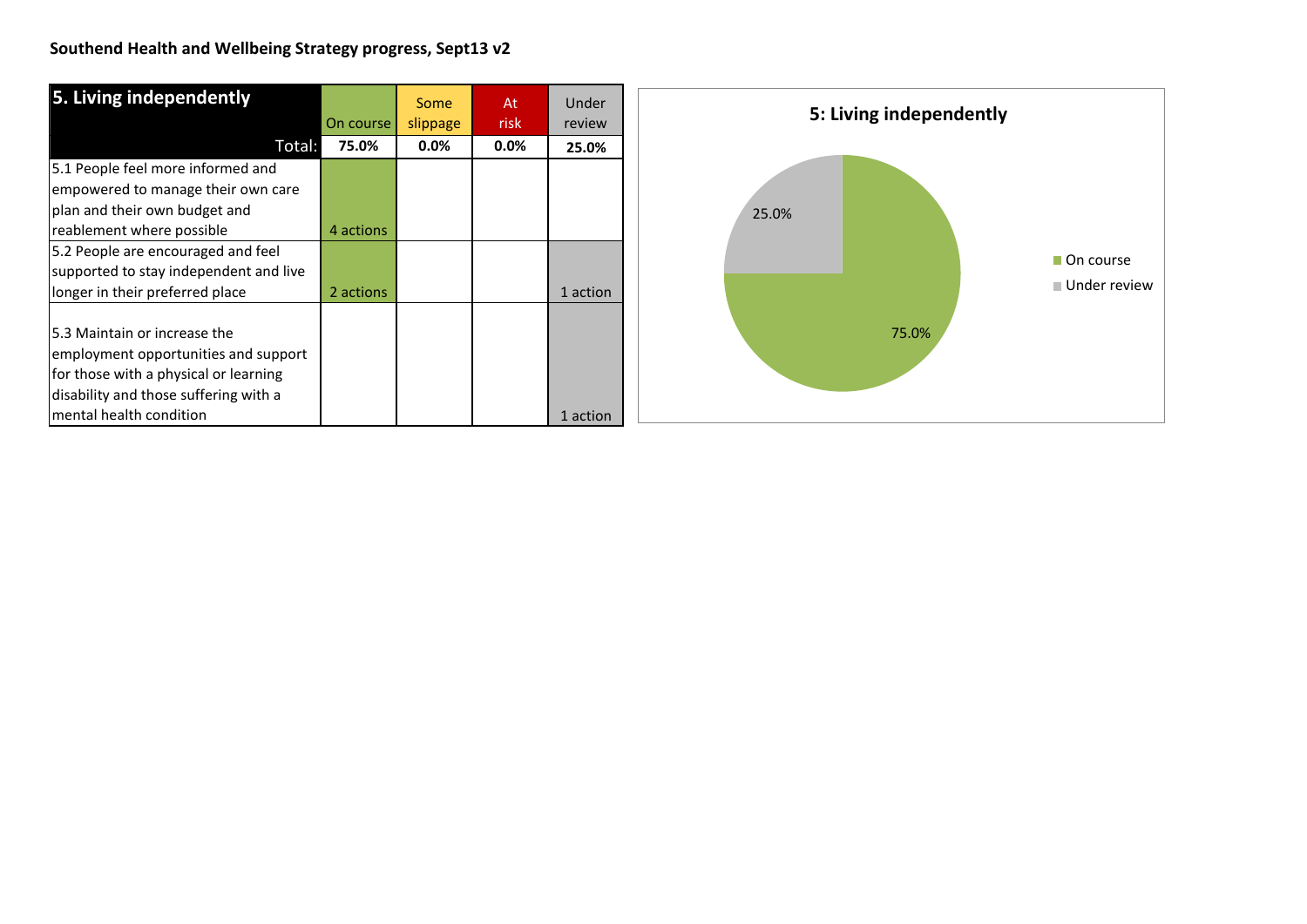| 5. Living independently                | On course | Some<br>slippage | At<br>risk | Under<br>review | 5: Living independently |
|----------------------------------------|-----------|------------------|------------|-----------------|-------------------------|
| Total:                                 | 75.0%     | $0.0\%$          | $0.0\%$    | 25.0%           |                         |
| 5.1 People feel more informed and      |           |                  |            |                 |                         |
| empowered to manage their own care     |           |                  |            |                 |                         |
| plan and their own budget and          |           |                  |            |                 | 25.0%                   |
| reablement where possible              | 4 actions |                  |            |                 |                         |
| 5.2 People are encouraged and feel     |           |                  |            |                 | On course               |
| supported to stay independent and live |           |                  |            |                 |                         |
| longer in their preferred place        | 2 actions |                  |            | 1 action        | ■ Under review          |
| 5.3 Maintain or increase the           |           |                  |            |                 | 75.0%                   |
| employment opportunities and support   |           |                  |            |                 |                         |
| for those with a physical or learning  |           |                  |            |                 |                         |
| disability and those suffering with a  |           |                  |            |                 |                         |
| mental health condition                |           |                  |            | 1 action        |                         |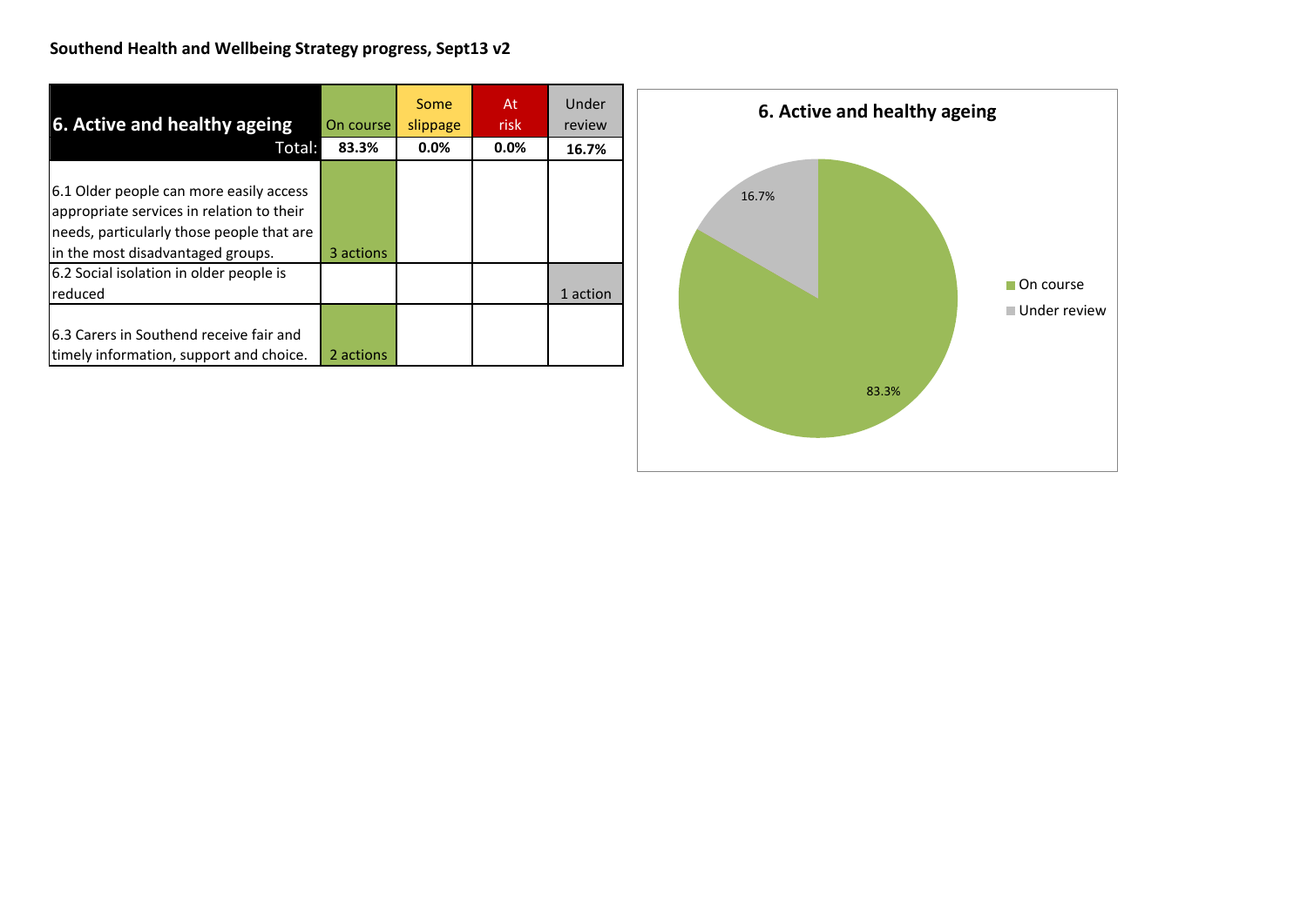| 6. Active and healthy ageing              | On course | <b>Some</b><br>slippage | At<br>risk | Under<br>review |
|-------------------------------------------|-----------|-------------------------|------------|-----------------|
| Total:                                    | 83.3%     | 0.0%                    | 0.0%       | 16.7%           |
|                                           |           |                         |            |                 |
| 6.1 Older people can more easily access   |           |                         |            |                 |
| appropriate services in relation to their |           |                         |            |                 |
| needs, particularly those people that are |           |                         |            |                 |
| in the most disadvantaged groups.         | 3 actions |                         |            |                 |
| 6.2 Social isolation in older people is   |           |                         |            |                 |
| reduced                                   |           |                         |            | 1 action        |
|                                           |           |                         |            |                 |
| 6.3 Carers in Southend receive fair and   |           |                         |            |                 |
| timely information, support and choice.   | 2 actions |                         |            |                 |

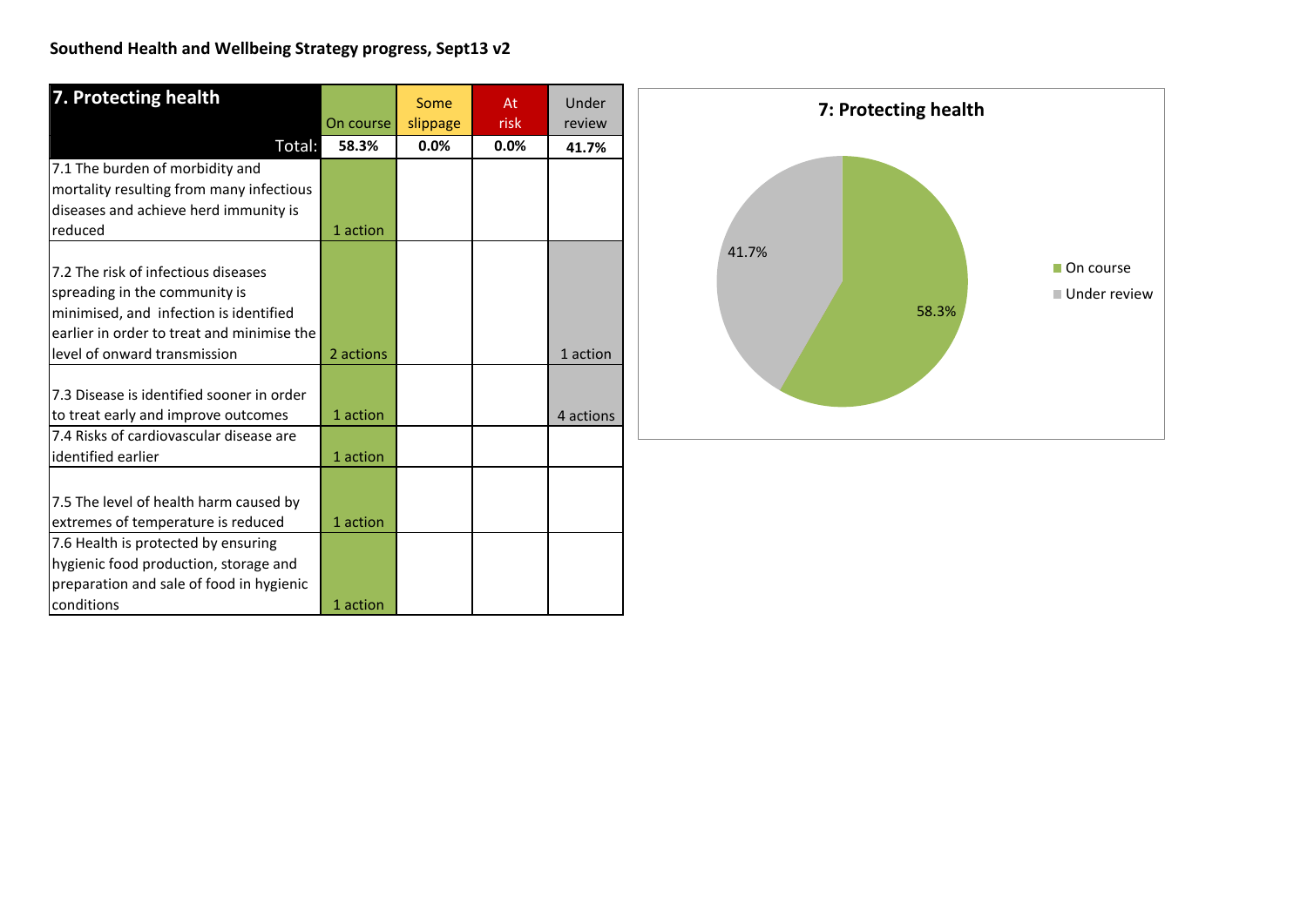| 7. Protecting health                       |           | Some     | At   | Under     |
|--------------------------------------------|-----------|----------|------|-----------|
|                                            | On course | slippage | risk | review    |
| Total:                                     | 58.3%     | 0.0%     | 0.0% | 41.7%     |
| 7.1 The burden of morbidity and            |           |          |      |           |
| mortality resulting from many infectious   |           |          |      |           |
| diseases and achieve herd immunity is      |           |          |      |           |
| reduced                                    | 1 action  |          |      |           |
|                                            |           |          |      |           |
| 7.2 The risk of infectious diseases        |           |          |      |           |
| spreading in the community is              |           |          |      |           |
| minimised, and infection is identified     |           |          |      |           |
| earlier in order to treat and minimise the |           |          |      |           |
| level of onward transmission               | 2 actions |          |      | 1 action  |
|                                            |           |          |      |           |
| 7.3 Disease is identified sooner in order  |           |          |      |           |
| to treat early and improve outcomes        | 1 action  |          |      | 4 actions |
| 7.4 Risks of cardiovascular disease are    |           |          |      |           |
| identified earlier                         | 1 action  |          |      |           |
|                                            |           |          |      |           |
| 7.5 The level of health harm caused by     |           |          |      |           |
| extremes of temperature is reduced         | 1 action  |          |      |           |
| 7.6 Health is protected by ensuring        |           |          |      |           |
| hygienic food production, storage and      |           |          |      |           |
| preparation and sale of food in hygienic   |           |          |      |           |
| conditions                                 | 1 action  |          |      |           |

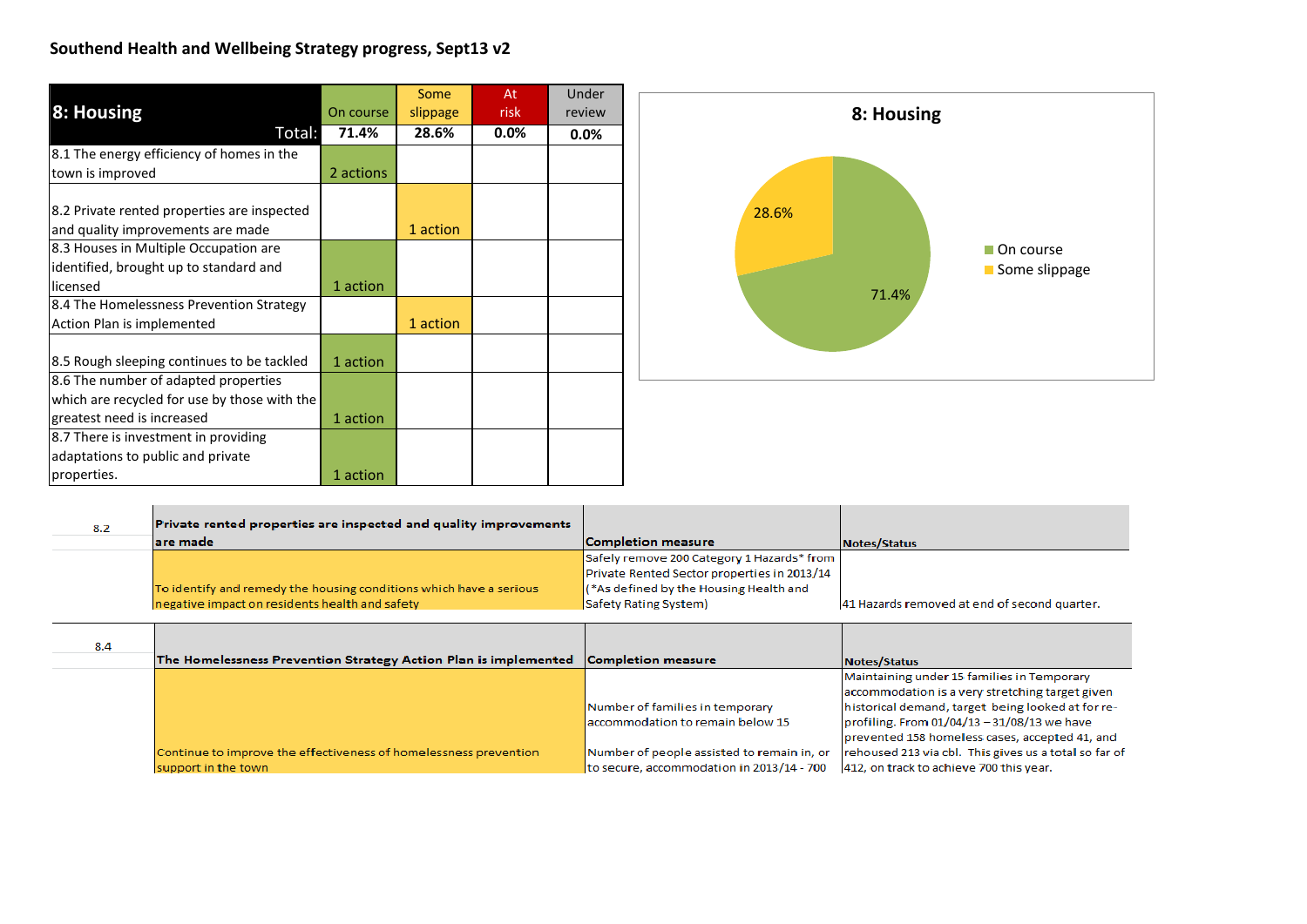|                                              |           | Some     | At   | Under  |
|----------------------------------------------|-----------|----------|------|--------|
| 8: Housing                                   | On course | slippage | risk | review |
| Total:                                       | 71.4%     | 28.6%    | 0.0% | 0.0%   |
| 8.1 The energy efficiency of homes in the    |           |          |      |        |
| town is improved                             | 2 actions |          |      |        |
|                                              |           |          |      |        |
| 8.2 Private rented properties are inspected  |           |          |      |        |
| and quality improvements are made            |           | 1 action |      |        |
| 8.3 Houses in Multiple Occupation are        |           |          |      |        |
| identified, brought up to standard and       |           |          |      |        |
| licensed                                     | 1 action  |          |      |        |
| 8.4 The Homelessness Prevention Strategy     |           |          |      |        |
| Action Plan is implemented                   |           | 1 action |      |        |
|                                              |           |          |      |        |
| 8.5 Rough sleeping continues to be tackled   | 1 action  |          |      |        |
| 8.6 The number of adapted properties         |           |          |      |        |
| which are recycled for use by those with the |           |          |      |        |
| greatest need is increased                   | 1 action  |          |      |        |
| 8.7 There is investment in providing         |           |          |      |        |
| adaptations to public and private            |           |          |      |        |
| properties.                                  | 1 action  |          |      |        |



| 8.2 | Private rented properties are inspected and quality improvements   |                                                      |                                              |
|-----|--------------------------------------------------------------------|------------------------------------------------------|----------------------------------------------|
|     | lare made                                                          | Completion measure                                   | Notes/Status                                 |
|     |                                                                    | Safely remove 200 Category 1 Hazards* from           |                                              |
|     |                                                                    | Private Rented Sector properties in 2013/14          |                                              |
|     | To identify and remedy the housing conditions which have a serious | $\frac{1}{2}$ (*As defined by the Housing Health and |                                              |
|     | negative impact on residents health and safety                     | Safety Rating System)                                | 41 Hazards removed at end of second quarter. |

| 8.4 |                                                                  |                                            |                                                       |
|-----|------------------------------------------------------------------|--------------------------------------------|-------------------------------------------------------|
|     | The Homelessness Prevention Strategy Action Plan is implemented  | Completion measure                         | Notes/Status                                          |
|     |                                                                  |                                            | Maintaining under 15 families in Temporary            |
|     |                                                                  |                                            | accommodation is a very stretching target given       |
|     |                                                                  | Number of families in temporary            | historical demand, target being looked at for re-     |
|     |                                                                  | accommodation to remain below 15           | profiling. From 01/04/13 - 31/08/13 we have           |
|     |                                                                  |                                            | prevented 158 homeless cases, accepted 41, and        |
|     | Continue to improve the effectiveness of homelessness prevention | Number of people assisted to remain in, or | rehoused 213 via cbl. This gives us a total so far of |
|     | support in the town                                              | to secure, accommodation in 2013/14 - 700  | 412, on track to achieve 700 this year.               |